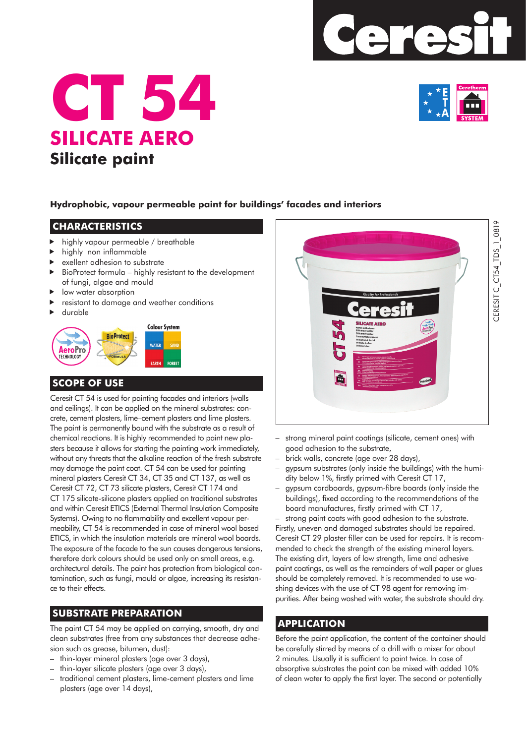





### **Hydrophobic, vapour permeable paint for buildings' facades and interiors**

#### **CHARACTERISTICS**

- highly vapour permeable / breathable
- highly non inflammable
- exellent adhesion to substrate
- BioProtect formula highly resistant to the development of fungi, algae and mould
- low water absorption
- resistant to damage and weather conditions
- durable



## **SCOPE OF USE**

Ceresit CT 54 is used for painting facades and interiors (walls and ceilings). It can be applied on the mineral substrates: concrete, cement plasters, lime–cement plasters and lime plasters. The paint is permanently bound with the substrate as a result of chemical reactions. It is highly recommended to paint new plasters because it allows for starting the painting work immediately, without any threats that the alkaline reaction of the fresh substrate may damage the paint coat. CT 54 can be used for painting mineral plasters Ceresit CT 34, CT 35 and CT 137, as well as Ceresit CT 72, CT 73 silicate plasters, Ceresit CT 174 and CT 175 silicate-silicone plasters applied on traditional substrates and within Ceresit ETICS (External Thermal Insulation Composite Systems). Owing to no flammability and excellent vapour permeability, CT 54 is recommended in case of mineral wool based ETICS, in which the insulation materials are mineral wool boards. The exposure of the facade to the sun causes dangerous tensions, therefore dark colours should be used only on small areas, e.g. architectural details. The paint has protection from biological contamination, such as fungi, mould or algae, increasing its resistance to their effects.

## **SUBSTRATE PREPARATION**

The paint CT 54 may be applied on carrying, smooth, dry and clean substrates (free from any substances that decrease adhesion such as grease, bitumen, dust):

- thin-layer mineral plasters (age over 3 days),
- thin-layer silicate plasters (age over 3 days),
- traditional cement plasters, lime-cement plasters and lime plasters (age over 14 days),



- strong mineral paint coatings (silicate, cement ones) with good adhesion to the substrate,
- brick walls, concrete (age over 28 days),
- gypsum substrates (only inside the buildings) with the humidity below 1%, firstly primed with Ceresit CT 17,
- gypsum cardboards, gypsum-fibre boards (only inside the buildings), fixed according to the recommendations of the board manufactures, firstly primed with CT 17,

– strong paint coats with good adhesion to the substrate. Firstly, uneven and damaged substrates should be repaired. Ceresit CT 29 plaster filler can be used for repairs. It is recommended to check the strength of the existing mineral layers. The existing dirt, layers of low strength, lime and adhesive paint coatings, as well as the remainders of wall paper or glues should be completely removed. It is recommended to use washing devices with the use of CT 98 agent for removing impurities. After being washed with water, the substrate should dry.

## **APPLICATION**

Before the paint application, the content of the container should be carefully stirred by means of a drill with a mixer for about 2 minutes. Usually it is sufficient to paint twice. In case of absorptive substrates the paint can be mixed with added 10% of clean water to apply the first layer. The second or potentially